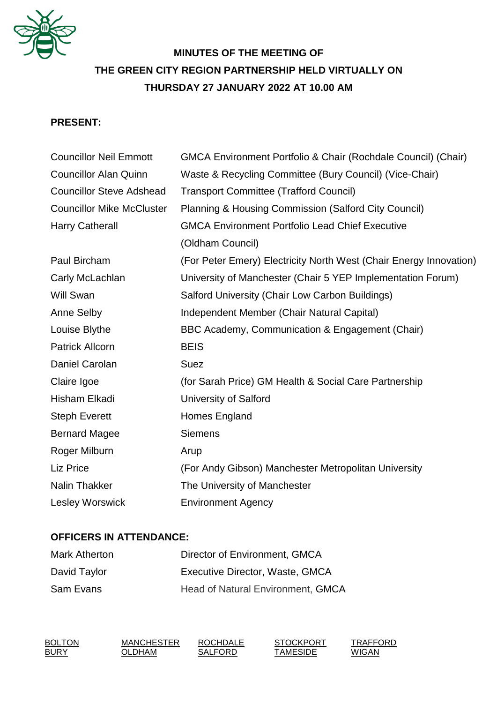

# **MINUTES OF THE MEETING OF THE GREEN CITY REGION PARTNERSHIP HELD VIRTUALLY ON THURSDAY 27 JANUARY 2022 AT 10.00 AM**

# **PRESENT:**

| <b>Councillor Neil Emmott</b>    | <b>GMCA Environment Portfolio &amp; Chair (Rochdale Council) (Chair)</b> |  |
|----------------------------------|--------------------------------------------------------------------------|--|
| <b>Councillor Alan Quinn</b>     | Waste & Recycling Committee (Bury Council) (Vice-Chair)                  |  |
| <b>Councillor Steve Adshead</b>  | <b>Transport Committee (Trafford Council)</b>                            |  |
| <b>Councillor Mike McCluster</b> | Planning & Housing Commission (Salford City Council)                     |  |
| <b>Harry Catherall</b>           | <b>GMCA Environment Portfolio Lead Chief Executive</b>                   |  |
|                                  | (Oldham Council)                                                         |  |
| Paul Bircham                     | (For Peter Emery) Electricity North West (Chair Energy Innovation)       |  |
| Carly McLachlan                  | University of Manchester (Chair 5 YEP Implementation Forum)              |  |
| Will Swan                        | Salford University (Chair Low Carbon Buildings)                          |  |
| Anne Selby                       | Independent Member (Chair Natural Capital)                               |  |
| Louise Blythe                    | BBC Academy, Communication & Engagement (Chair)                          |  |
| <b>Patrick Allcorn</b>           | <b>BEIS</b>                                                              |  |
| Daniel Carolan                   | <b>Suez</b>                                                              |  |
| Claire Igoe                      | (for Sarah Price) GM Health & Social Care Partnership                    |  |
| Hisham Elkadi                    | <b>University of Salford</b>                                             |  |
| <b>Steph Everett</b>             | Homes England                                                            |  |
| <b>Bernard Magee</b>             | <b>Siemens</b>                                                           |  |
| Roger Milburn                    | Arup                                                                     |  |
| Liz Price                        | (For Andy Gibson) Manchester Metropolitan University                     |  |
| <b>Nalin Thakker</b>             | The University of Manchester                                             |  |
| <b>Lesley Worswick</b>           | <b>Environment Agency</b>                                                |  |

# **OFFICERS IN ATTENDANCE:**

| <b>Mark Atherton</b> | Director of Environment, GMCA            |
|----------------------|------------------------------------------|
| David Taylor         | Executive Director, Waste, GMCA          |
| Sam Evans            | <b>Head of Natural Environment, GMCA</b> |

| <b>BOLTON</b> | <b>MANCHESTER</b> | <b>ROCHDALE</b> | <b>STOCKPORT</b> | TRAFFORD |
|---------------|-------------------|-----------------|------------------|----------|
| <b>BURY</b>   | OLDHAM            | SALFORD         | TAMESIDE         | WIGAN    |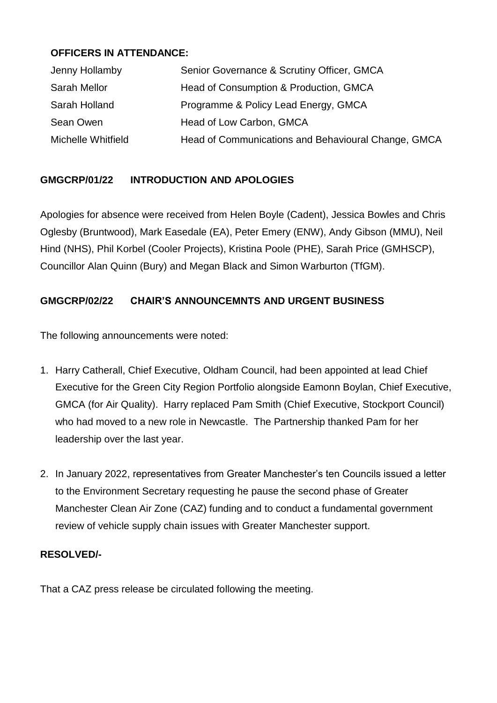# **OFFICERS IN ATTENDANCE:**

| Jenny Hollamby      | Senior Governance & Scrutiny Officer, GMCA          |
|---------------------|-----------------------------------------------------|
| <b>Sarah Mellor</b> | Head of Consumption & Production, GMCA              |
| Sarah Holland       | Programme & Policy Lead Energy, GMCA                |
| Sean Owen           | Head of Low Carbon, GMCA                            |
| Michelle Whitfield  | Head of Communications and Behavioural Change, GMCA |

# **GMGCRP/01/22 INTRODUCTION AND APOLOGIES**

Apologies for absence were received from Helen Boyle (Cadent), Jessica Bowles and Chris Oglesby (Bruntwood), Mark Easedale (EA), Peter Emery (ENW), Andy Gibson (MMU), Neil Hind (NHS), Phil Korbel (Cooler Projects), Kristina Poole (PHE), Sarah Price (GMHSCP), Councillor Alan Quinn (Bury) and Megan Black and Simon Warburton (TfGM).

# **GMGCRP/02/22 CHAIR'S ANNOUNCEMNTS AND URGENT BUSINESS**

The following announcements were noted:

- 1. Harry Catherall, Chief Executive, Oldham Council, had been appointed at lead Chief Executive for the Green City Region Portfolio alongside Eamonn Boylan, Chief Executive, GMCA (for Air Quality). Harry replaced Pam Smith (Chief Executive, Stockport Council) who had moved to a new role in Newcastle. The Partnership thanked Pam for her leadership over the last year.
- 2. In January 2022, representatives from Greater Manchester's ten Councils issued a letter to the Environment Secretary requesting he pause the second phase of Greater Manchester Clean Air Zone (CAZ) funding and to conduct a fundamental government review of vehicle supply chain issues with Greater Manchester support.

### **RESOLVED/-**

That a CAZ press release be circulated following the meeting.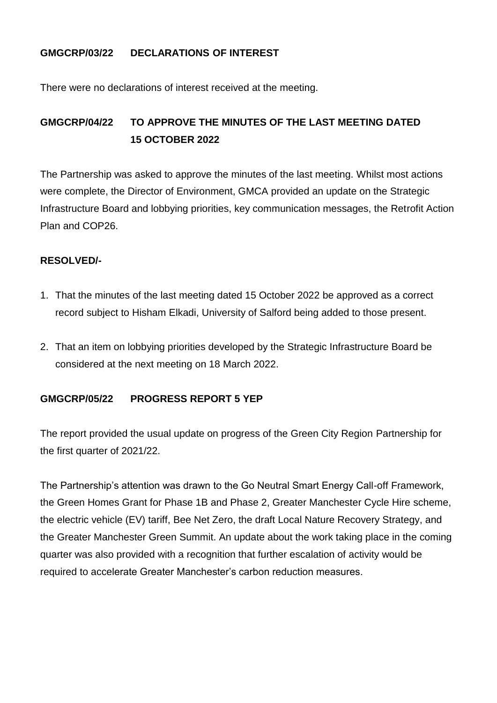### **GMGCRP/03/22 DECLARATIONS OF INTEREST**

There were no declarations of interest received at the meeting.

# **GMGCRP/04/22 TO APPROVE THE MINUTES OF THE LAST MEETING DATED 15 OCTOBER 2022**

The Partnership was asked to approve the minutes of the last meeting. Whilst most actions were complete, the Director of Environment, GMCA provided an update on the Strategic Infrastructure Board and lobbying priorities, key communication messages, the Retrofit Action Plan and COP26.

### **RESOLVED/-**

- 1. That the minutes of the last meeting dated 15 October 2022 be approved as a correct record subject to Hisham Elkadi, University of Salford being added to those present.
- 2. That an item on lobbying priorities developed by the Strategic Infrastructure Board be considered at the next meeting on 18 March 2022.

### **GMGCRP/05/22 PROGRESS REPORT 5 YEP**

The report provided the usual update on progress of the Green City Region Partnership for the first quarter of 2021/22.

The Partnership's attention was drawn to the Go Neutral Smart Energy Call-off Framework, the Green Homes Grant for Phase 1B and Phase 2, Greater Manchester Cycle Hire scheme, the electric vehicle (EV) tariff, Bee Net Zero, the draft Local Nature Recovery Strategy, and the Greater Manchester Green Summit. An update about the work taking place in the coming quarter was also provided with a recognition that further escalation of activity would be required to accelerate Greater Manchester's carbon reduction measures.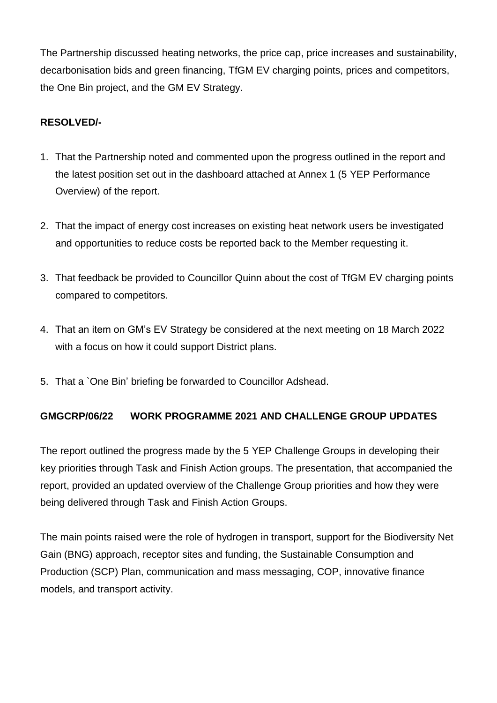The Partnership discussed heating networks, the price cap, price increases and sustainability, decarbonisation bids and green financing, TfGM EV charging points, prices and competitors, the One Bin project, and the GM EV Strategy.

# **RESOLVED/-**

- 1. That the Partnership noted and commented upon the progress outlined in the report and the latest position set out in the dashboard attached at Annex 1 (5 YEP Performance Overview) of the report.
- 2. That the impact of energy cost increases on existing heat network users be investigated and opportunities to reduce costs be reported back to the Member requesting it.
- 3. That feedback be provided to Councillor Quinn about the cost of TfGM EV charging points compared to competitors.
- 4. That an item on GM's EV Strategy be considered at the next meeting on 18 March 2022 with a focus on how it could support District plans.
- 5. That a `One Bin' briefing be forwarded to Councillor Adshead.

### **GMGCRP/06/22 WORK PROGRAMME 2021 AND CHALLENGE GROUP UPDATES**

The report outlined the progress made by the 5 YEP Challenge Groups in developing their key priorities through Task and Finish Action groups. The presentation, that accompanied the report, provided an updated overview of the Challenge Group priorities and how they were being delivered through Task and Finish Action Groups.

The main points raised were the role of hydrogen in transport, support for the Biodiversity Net Gain (BNG) approach, receptor sites and funding, the Sustainable Consumption and Production (SCP) Plan, communication and mass messaging, COP, innovative finance models, and transport activity.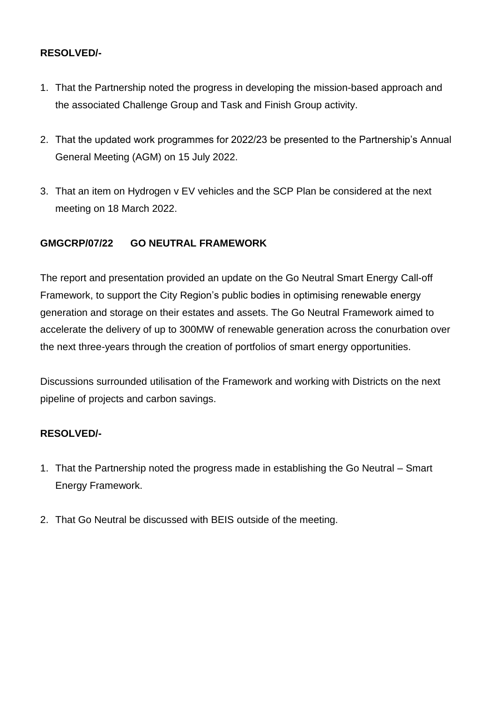# **RESOLVED/-**

- 1. That the Partnership noted the progress in developing the mission-based approach and the associated Challenge Group and Task and Finish Group activity.
- 2. That the updated work programmes for 2022/23 be presented to the Partnership's Annual General Meeting (AGM) on 15 July 2022.
- 3. That an item on Hydrogen v EV vehicles and the SCP Plan be considered at the next meeting on 18 March 2022.

# **GMGCRP/07/22 GO NEUTRAL FRAMEWORK**

The report and presentation provided an update on the Go Neutral Smart Energy Call-off Framework, to support the City Region's public bodies in optimising renewable energy generation and storage on their estates and assets. The Go Neutral Framework aimed to accelerate the delivery of up to 300MW of renewable generation across the conurbation over the next three-years through the creation of portfolios of smart energy opportunities.

Discussions surrounded utilisation of the Framework and working with Districts on the next pipeline of projects and carbon savings.

### **RESOLVED/-**

- 1. That the Partnership noted the progress made in establishing the Go Neutral Smart Energy Framework.
- 2. That Go Neutral be discussed with BEIS outside of the meeting.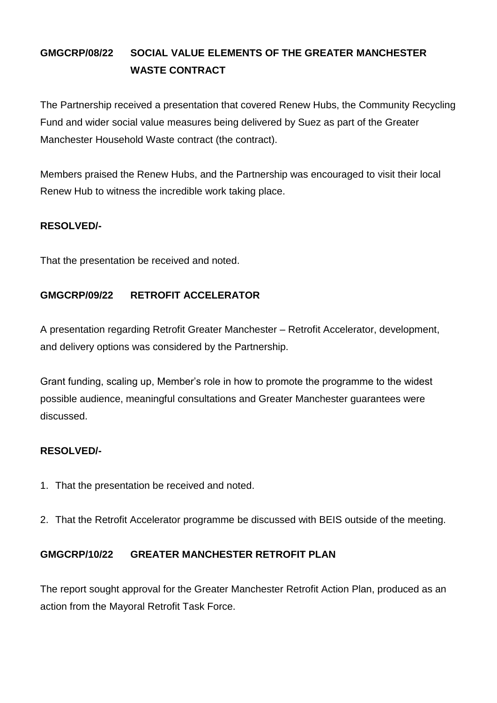# **GMGCRP/08/22 SOCIAL VALUE ELEMENTS OF THE GREATER MANCHESTER WASTE CONTRACT**

The Partnership received a presentation that covered Renew Hubs, the Community Recycling Fund and wider social value measures being delivered by Suez as part of the Greater Manchester Household Waste contract (the contract).

Members praised the Renew Hubs, and the Partnership was encouraged to visit their local Renew Hub to witness the incredible work taking place.

### **RESOLVED/-**

That the presentation be received and noted.

# **GMGCRP/09/22 RETROFIT ACCELERATOR**

A presentation regarding Retrofit Greater Manchester – Retrofit Accelerator, development, and delivery options was considered by the Partnership.

Grant funding, scaling up, Member's role in how to promote the programme to the widest possible audience, meaningful consultations and Greater Manchester guarantees were discussed.

### **RESOLVED/-**

- 1. That the presentation be received and noted.
- 2. That the Retrofit Accelerator programme be discussed with BEIS outside of the meeting.

### **GMGCRP/10/22 GREATER MANCHESTER RETROFIT PLAN**

The report sought approval for the Greater Manchester Retrofit Action Plan, produced as an action from the Mayoral Retrofit Task Force.